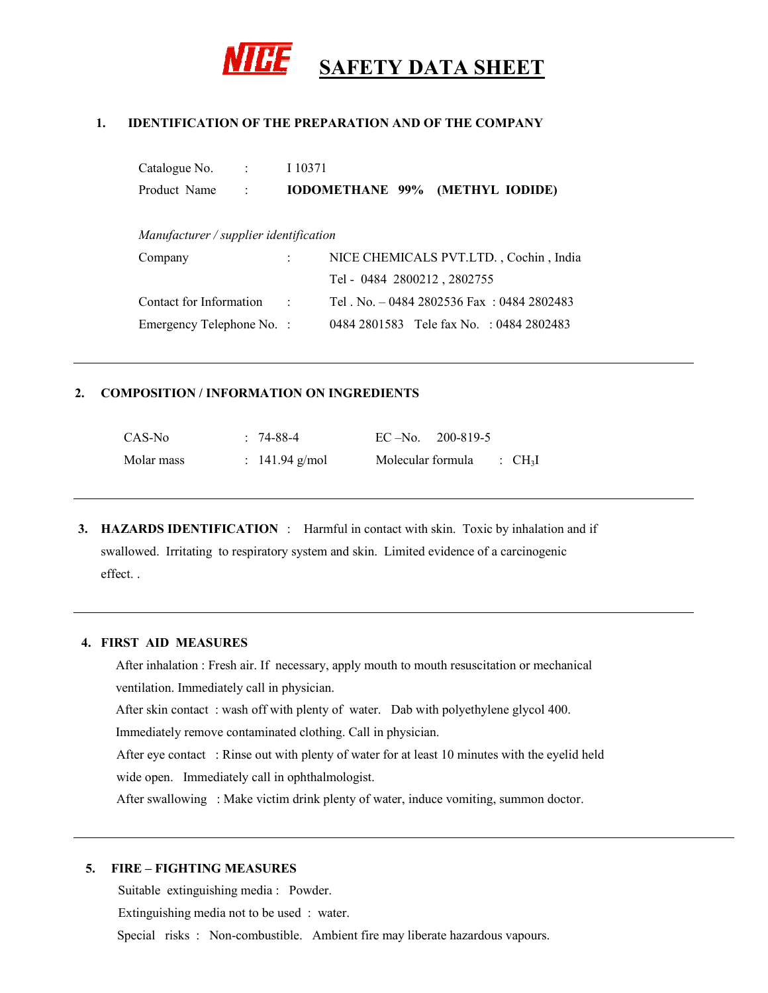

### **1. IDENTIFICATION OF THE PREPARATION AND OF THE COMPANY**

| Catalogue No. | <b>Contract Contract</b> | I 10371                                |  |
|---------------|--------------------------|----------------------------------------|--|
| Product Name  |                          | <b>IODOMETHANE 99% (METHYL IODIDE)</b> |  |

*Manufacturer / supplier identification* 

| Company                   | NICE CHEMICALS PVT.LTD., Cochin, India    |
|---------------------------|-------------------------------------------|
|                           | Tel - 0484 2800212, 2802755               |
| Contact for Information : | Tel. No. $-04842802536$ Fax: 0484 2802483 |
| Emergency Telephone No. : | 0484 2801583 Tele fax No. : 0484 2802483  |

#### **2. COMPOSITION / INFORMATION ON INGREDIENTS**

| CAS-No     | $: 74-88-4$      |                   | $EC - No.$ 200-819-5 |                                |
|------------|------------------|-------------------|----------------------|--------------------------------|
| Molar mass | : $141.94$ g/mol | Molecular formula |                      | $\therefore$ CH <sub>3</sub> I |

**3. HAZARDS IDENTIFICATION** : Harmful in contact with skin. Toxic by inhalation and if swallowed. Irritating to respiratory system and skin. Limited evidence of a carcinogenic effect. .

### **4. FIRST AID MEASURES**

 After inhalation : Fresh air. If necessary, apply mouth to mouth resuscitation or mechanical ventilation. Immediately call in physician.

After skin contact : wash off with plenty of water. Dab with polyethylene glycol 400.

Immediately remove contaminated clothing. Call in physician.

After eye contact : Rinse out with plenty of water for at least 10 minutes with the eyelid held wide open. Immediately call in ophthalmologist.

After swallowing : Make victim drink plenty of water, induce vomiting, summon doctor.

### **5. FIRE – FIGHTING MEASURES**

Suitable extinguishing media : Powder.

Extinguishing media not to be used : water.

Special risks : Non-combustible. Ambient fire may liberate hazardous vapours.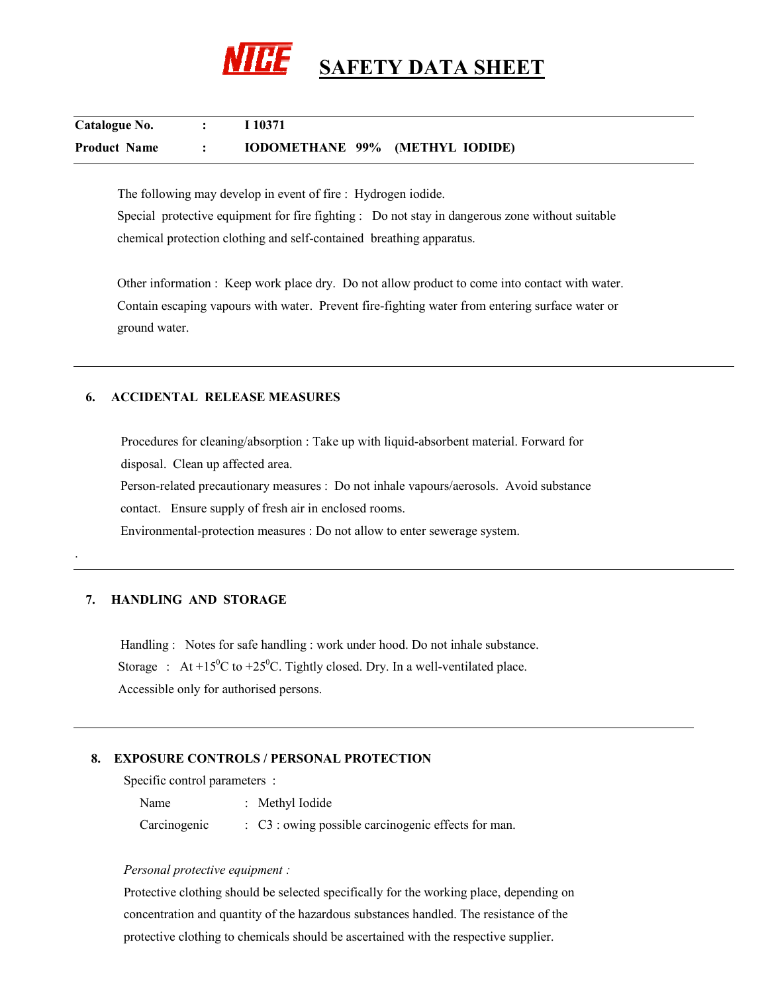

| Catalogue No.       | $\sim$ 100 $\sim$ | I 10371                         |  |
|---------------------|-------------------|---------------------------------|--|
| <b>Product Name</b> |                   | IODOMETHANE 99% (METHYL IODIDE) |  |

The following may develop in event of fire : Hydrogen iodide. Special protective equipment for fire fighting : Do not stay in dangerous zone without suitable chemical protection clothing and self-contained breathing apparatus.

 Other information : Keep work place dry. Do not allow product to come into contact with water. Contain escaping vapours with water. Prevent fire-fighting water from entering surface water or ground water.

### **6. ACCIDENTAL RELEASE MEASURES**

 Procedures for cleaning/absorption : Take up with liquid-absorbent material. Forward for disposal. Clean up affected area.

 Person-related precautionary measures : Do not inhale vapours/aerosols. Avoid substance contact. Ensure supply of fresh air in enclosed rooms.

Environmental-protection measures : Do not allow to enter sewerage system.

### **7. HANDLING AND STORAGE**

.

Handling : Notes for safe handling : work under hood. Do not inhale substance. Storage : At +15<sup>o</sup>C to +25<sup>o</sup>C. Tightly closed. Dry. In a well-ventilated place. Accessible only for authorised persons.

### **8. EXPOSURE CONTROLS / PERSONAL PROTECTION**

Specific control parameters :

 Name : Methyl Iodide Carcinogenic : C3 : owing possible carcinogenic effects for man.

#### *Personal protective equipment :*

 Protective clothing should be selected specifically for the working place, depending on concentration and quantity of the hazardous substances handled. The resistance of the protective clothing to chemicals should be ascertained with the respective supplier.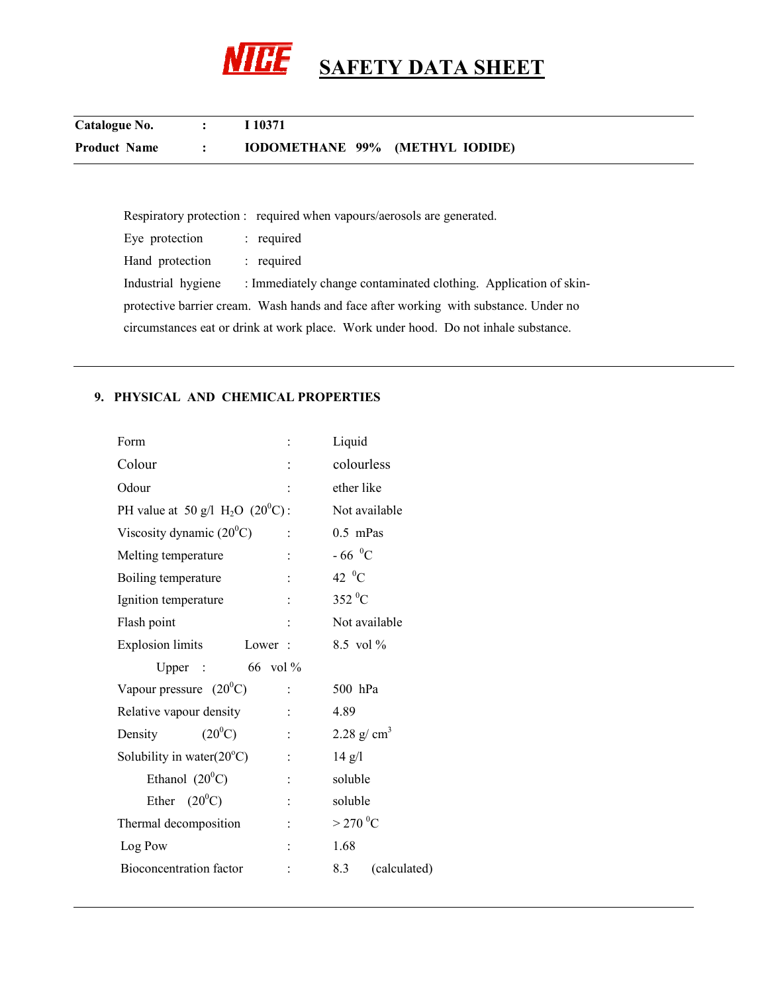

| Catalogue No.       |           | I 10371                         |
|---------------------|-----------|---------------------------------|
| <b>Product Name</b> | $\bullet$ | IODOMETHANE 99% (METHYL IODIDE) |

|                    | Respiratory protection : required when vapours/aerosols are generated.               |
|--------------------|--------------------------------------------------------------------------------------|
| Eye protection     | : required                                                                           |
| Hand protection    | : required                                                                           |
| Industrial hygiene | : Immediately change contaminated clothing. Application of skin-                     |
|                    | protective barrier cream. Wash hands and face after working with substance. Under no |
|                    | circumstances eat or drink at work place. Work under hood. Do not inhale substance.  |

# **9. PHYSICAL AND CHEMICAL PROPERTIES**

| Form                                           | Liquid                 |
|------------------------------------------------|------------------------|
| Colour                                         | colourless             |
| Odour                                          | ether like             |
| PH value at 50 g/l $H_2O$ (20 <sup>0</sup> C): | Not available          |
| Viscosity dynamic $(20^0C)$                    | $0.5$ mPas             |
| Melting temperature                            | $-66$ <sup>0</sup> C   |
| Boiling temperature                            | 42 $\mathrm{^0C}$      |
| Ignition temperature                           | $352\,^0C$             |
| Flash point                                    | Not available          |
| <b>Explosion limits</b><br>Lower:              | 8.5 vol $\%$           |
| 66 vol %<br>Upper $\therefore$                 |                        |
| Vapour pressure $(20^0C)$                      | 500 hPa                |
| Relative vapour density                        | 4.89                   |
| $(20^0C)$<br>Density                           | 2.28 g/ $cm3$          |
| Solubility in water $(20^{\circ}C)$            | $14$ g/l               |
| Ethanol $(20^0C)$                              | soluble                |
| Ether $(20^0C)$                                | soluble                |
| Thermal decomposition                          | $>$ 270 <sup>0</sup> C |
| Log Pow                                        | 1.68                   |
| Bioconcentration factor                        | 8.3<br>(calculated)    |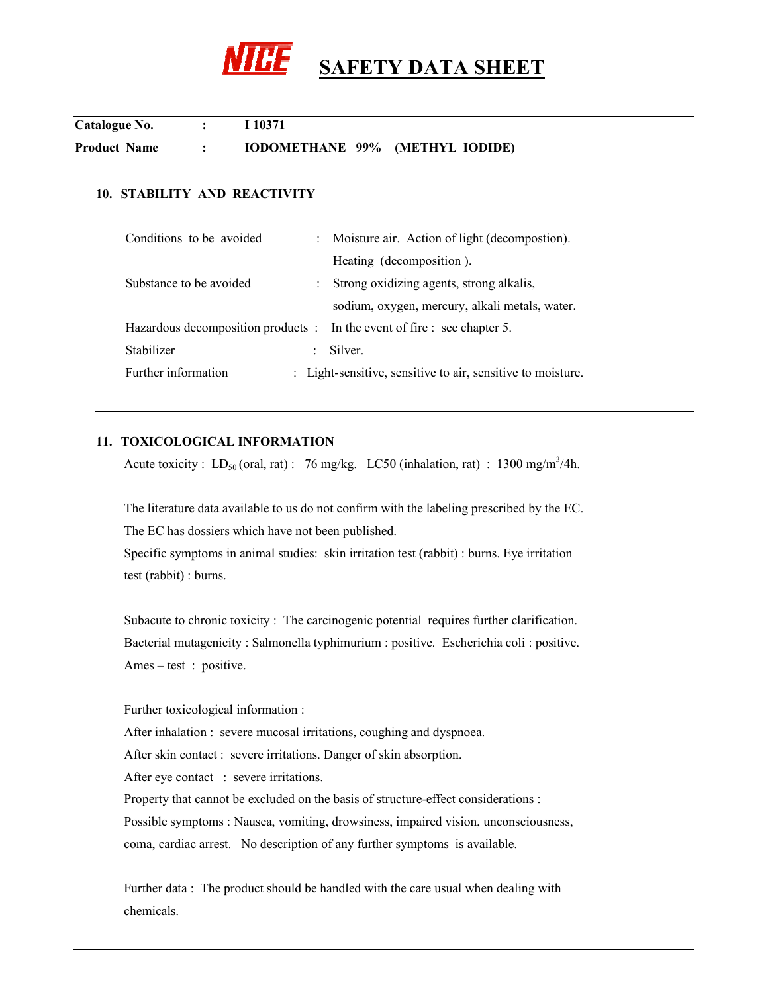

| Catalogue No.       | I 10371                         |  |
|---------------------|---------------------------------|--|
| <b>Product Name</b> | IODOMETHANE 99% (METHYL IODIDE) |  |

# **10. STABILITY AND REACTIVITY**

| Conditions to be avoided                                                 | : Moisture air. Action of light (decompostion).             |
|--------------------------------------------------------------------------|-------------------------------------------------------------|
|                                                                          | Heating (decomposition).                                    |
| Substance to be avoided                                                  | : Strong oxidizing agents, strong alkalis,                  |
|                                                                          | sodium, oxygen, mercury, alkali metals, water.              |
| Hazardous decomposition products : In the event of fire : see chapter 5. |                                                             |
| Stabilizer                                                               | Silver.                                                     |
| Further information                                                      | : Light-sensitive, sensitive to air, sensitive to moisture. |
|                                                                          |                                                             |

### **11. TOXICOLOGICAL INFORMATION**

Acute toxicity :  $LD_{50}$  (oral, rat) : 76 mg/kg. LC50 (inhalation, rat) : 1300 mg/m<sup>3</sup>/4h.

 The literature data available to us do not confirm with the labeling prescribed by the EC. The EC has dossiers which have not been published.

 Specific symptoms in animal studies: skin irritation test (rabbit) : burns. Eye irritation test (rabbit) : burns.

 Subacute to chronic toxicity : The carcinogenic potential requires further clarification. Bacterial mutagenicity : Salmonella typhimurium : positive. Escherichia coli : positive. Ames – test : positive.

### Further toxicological information :

After inhalation : severe mucosal irritations, coughing and dyspnoea.

After skin contact : severe irritations. Danger of skin absorption.

After eye contact : severe irritations.

Property that cannot be excluded on the basis of structure-effect considerations :

Possible symptoms : Nausea, vomiting, drowsiness, impaired vision, unconsciousness,

coma, cardiac arrest. No description of any further symptoms is available.

 Further data : The product should be handled with the care usual when dealing with chemicals.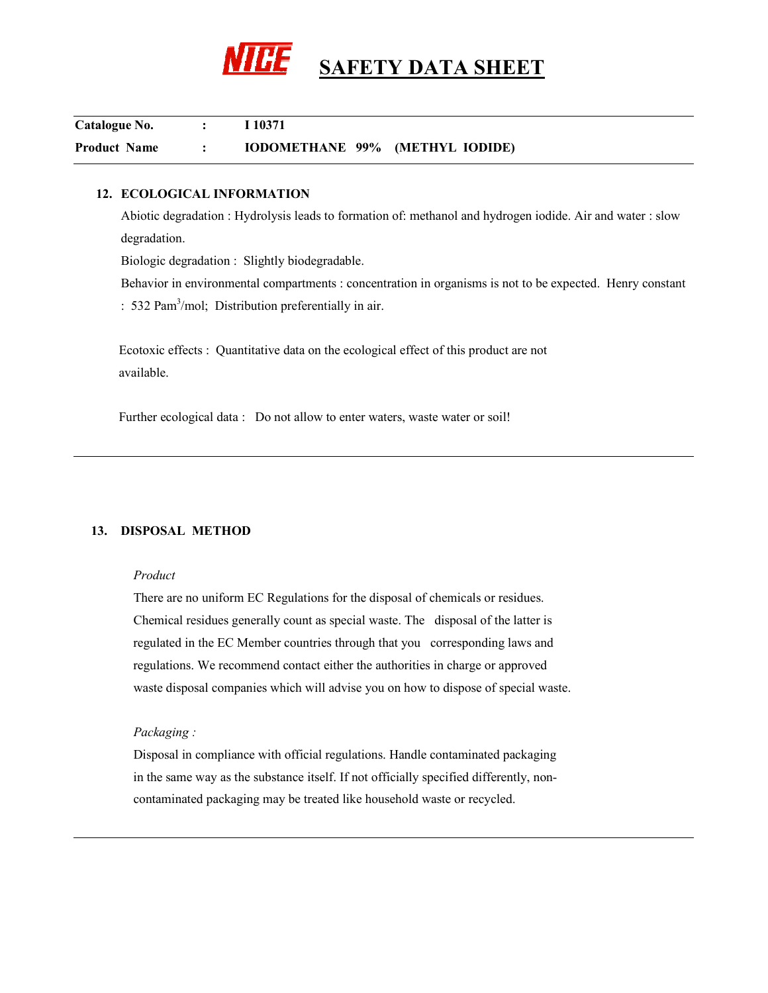

| Catalogue No.       | I 10371                         |
|---------------------|---------------------------------|
| <b>Product Name</b> | IODOMETHANE 99% (METHYL IODIDE) |

### **12. ECOLOGICAL INFORMATION**

Abiotic degradation : Hydrolysis leads to formation of: methanol and hydrogen iodide. Air and water : slow degradation.

Biologic degradation : Slightly biodegradable.

Behavior in environmental compartments : concentration in organisms is not to be expected. Henry constant : 532 Pam<sup>3</sup>/mol; Distribution preferentially in air.

Ecotoxic effects : Quantitative data on the ecological effect of this product are not available.

Further ecological data : Do not allow to enter waters, waste water or soil!

### **13. DISPOSAL METHOD**

#### *Product*

 There are no uniform EC Regulations for the disposal of chemicals or residues. Chemical residues generally count as special waste. The disposal of the latter is regulated in the EC Member countries through that you corresponding laws and regulations. We recommend contact either the authorities in charge or approved waste disposal companies which will advise you on how to dispose of special waste.

### *Packaging :*

 Disposal in compliance with official regulations. Handle contaminated packaging in the same way as the substance itself. If not officially specified differently, non contaminated packaging may be treated like household waste or recycled.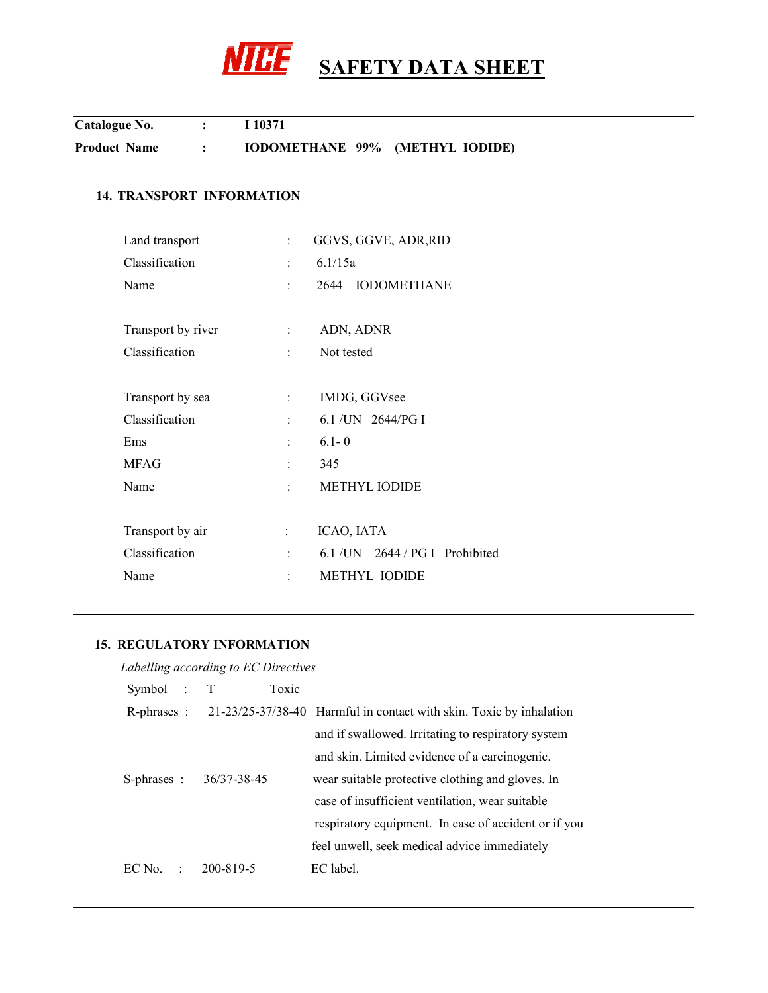

| Catalogue No.       | I 10371                         |
|---------------------|---------------------------------|
| <b>Product Name</b> | IODOMETHANE 99% (METHYL IODIDE) |

# **14. TRANSPORT INFORMATION**

| Land transport     | ÷                                      | GGVS, GGVE, ADR, RID               |
|--------------------|----------------------------------------|------------------------------------|
| Classification     | ÷                                      | 6.1/15a                            |
| Name               | ÷.                                     | 2644 IODOMETHANE                   |
| Transport by river | $\mathbb{R}^n$                         | ADN, ADNR                          |
| Classification     | tin 1                                  | Not tested                         |
| Transport by sea   | ÷                                      | IMDG, GGVsee                       |
| Classification     | $\ddot{\cdot}$                         | 6.1 / UN 2644/PG I                 |
| Ems                | ÷                                      | $6.1 - 0$                          |
| <b>MFAG</b>        | ÷                                      | 345                                |
| Name               | $\mathcal{O}(\mathcal{O}_\mathcal{O})$ | METHYL IODIDE                      |
| Transport by air   | ÷                                      | ICAO, IATA                         |
| Classification     | $\ddot{\cdot}$                         | $6.1$ /UN $2644$ / PG I Prohibited |
| Name               |                                        | <b>METHYL IODIDE</b>               |
|                    |                                        |                                    |

## **15. REGULATORY INFORMATION**

| Labelling according to EC Directives |        |                        |       |                                                                                 |  |  |  |
|--------------------------------------|--------|------------------------|-------|---------------------------------------------------------------------------------|--|--|--|
| Symbol : T                           |        |                        | Toxic |                                                                                 |  |  |  |
|                                      |        |                        |       | R-phrases : 21-23/25-37/38-40 Harmful in contact with skin. Toxic by inhalation |  |  |  |
|                                      |        |                        |       | and if swallowed. Irritating to respiratory system                              |  |  |  |
|                                      |        |                        |       | and skin. Limited evidence of a carcinogenic.                                   |  |  |  |
|                                      |        | S-phrases: 36/37-38-45 |       | wear suitable protective clothing and gloves. In                                |  |  |  |
|                                      |        |                        |       | case of insufficient ventilation, wear suitable                                 |  |  |  |
|                                      |        |                        |       | respiratory equipment. In case of accident or if you                            |  |  |  |
|                                      |        |                        |       | feel unwell, seek medical advice immediately                                    |  |  |  |
| EC No                                | $\sim$ | 200-819-5              |       | EC label.                                                                       |  |  |  |
|                                      |        |                        |       |                                                                                 |  |  |  |